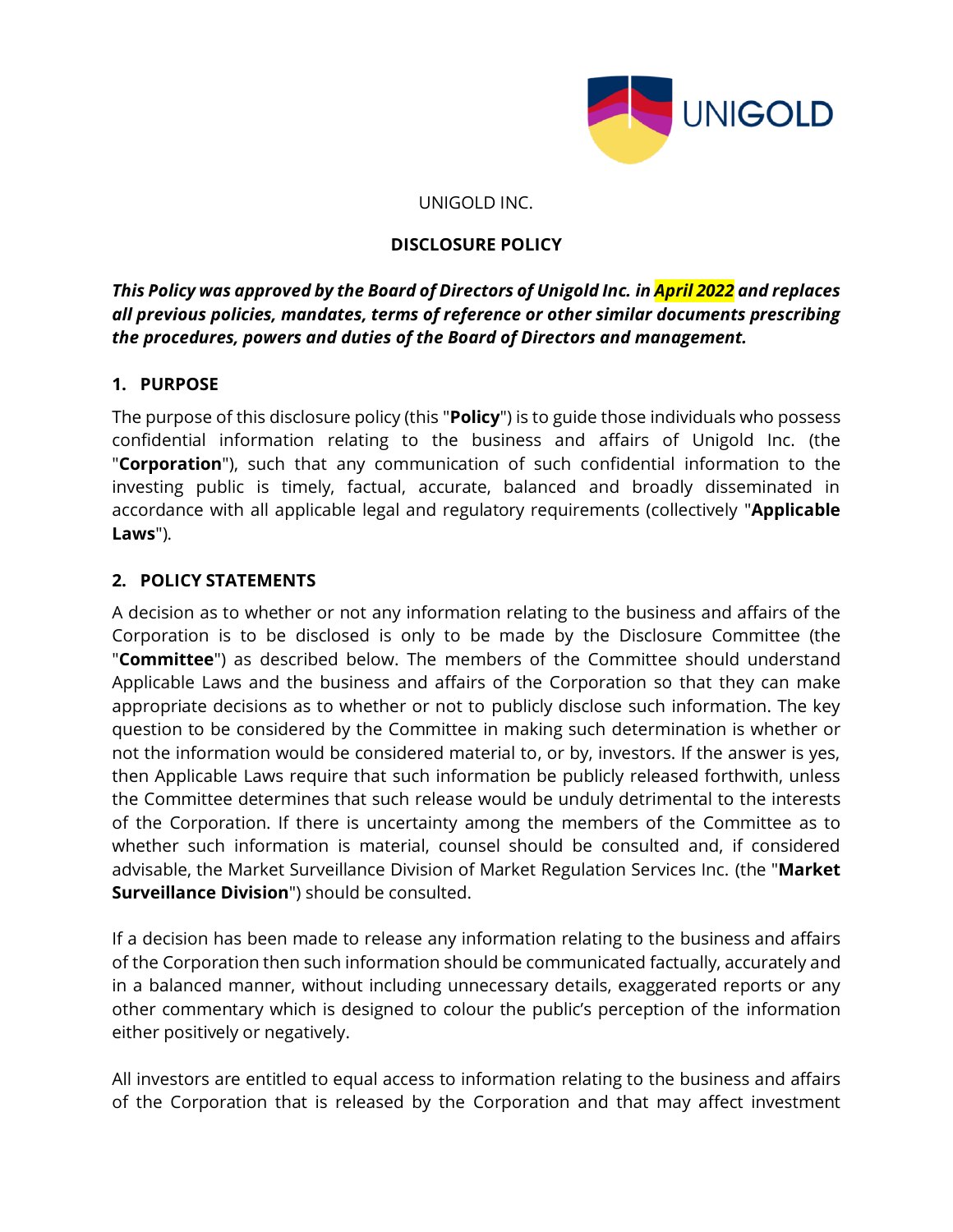

#### UNIGOLD INC.

#### **DISCLOSURE POLICY**

# *This Policy was approved by the Board of Directors of Unigold Inc. in April 2022 and replaces all previous policies, mandates, terms of reference or other similar documents prescribing the procedures, powers and duties of the Board of Directors and management.*

### **1. PURPOSE**

The purpose of this disclosure policy (this "**Policy**") is to guide those individuals who possess confidential information relating to the business and affairs of Unigold Inc. (the "**Corporation**"), such that any communication of such confidential information to the investing public is timely, factual, accurate, balanced and broadly disseminated in accordance with all applicable legal and regulatory requirements (collectively "**Applicable Laws**").

### **2. POLICY STATEMENTS**

A decision as to whether or not any information relating to the business and affairs of the Corporation is to be disclosed is only to be made by the Disclosure Committee (the "**Committee**") as described below. The members of the Committee should understand Applicable Laws and the business and affairs of the Corporation so that they can make appropriate decisions as to whether or not to publicly disclose such information. The key question to be considered by the Committee in making such determination is whether or not the information would be considered material to, or by, investors. If the answer is yes, then Applicable Laws require that such information be publicly released forthwith, unless the Committee determines that such release would be unduly detrimental to the interests of the Corporation. If there is uncertainty among the members of the Committee as to whether such information is material, counsel should be consulted and, if considered advisable, the Market Surveillance Division of Market Regulation Services Inc. (the "**Market Surveillance Division**") should be consulted.

If a decision has been made to release any information relating to the business and affairs of the Corporation then such information should be communicated factually, accurately and in a balanced manner, without including unnecessary details, exaggerated reports or any other commentary which is designed to colour the public's perception of the information either positively or negatively.

All investors are entitled to equal access to information relating to the business and affairs of the Corporation that is released by the Corporation and that may affect investment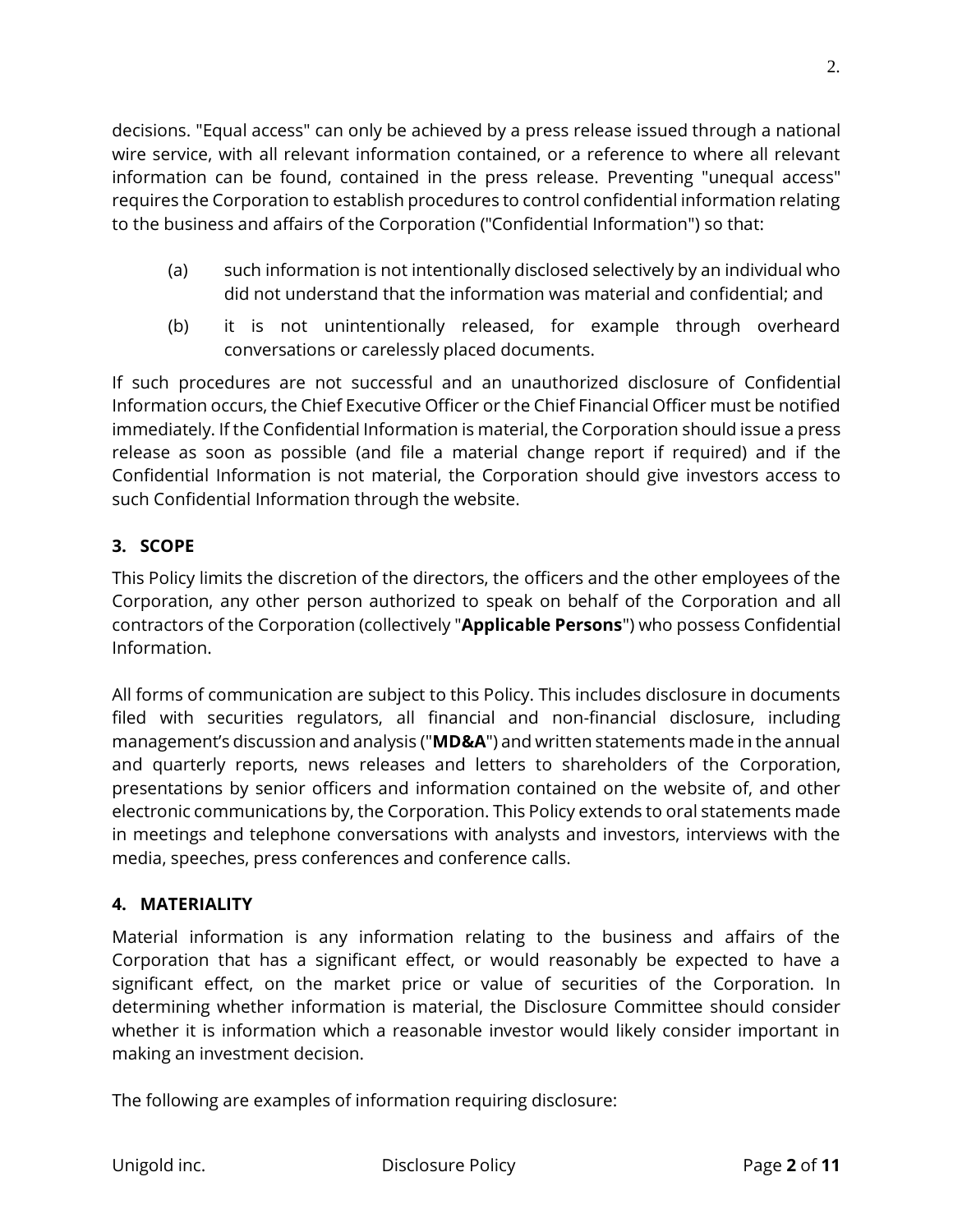decisions. "Equal access" can only be achieved by a press release issued through a national wire service, with all relevant information contained, or a reference to where all relevant information can be found, contained in the press release. Preventing "unequal access" requires the Corporation to establish procedures to control confidential information relating to the business and affairs of the Corporation ("Confidential Information") so that:

- (a) such information is not intentionally disclosed selectively by an individual who did not understand that the information was material and confidential; and
- (b) it is not unintentionally released, for example through overheard conversations or carelessly placed documents.

If such procedures are not successful and an unauthorized disclosure of Confidential Information occurs, the Chief Executive Officer or the Chief Financial Officer must be notified immediately. If the Confidential Information is material, the Corporation should issue a press release as soon as possible (and file a material change report if required) and if the Confidential Information is not material, the Corporation should give investors access to such Confidential Information through the website.

### **3. SCOPE**

This Policy limits the discretion of the directors, the officers and the other employees of the Corporation, any other person authorized to speak on behalf of the Corporation and all contractors of the Corporation (collectively "**Applicable Persons**") who possess Confidential Information.

All forms of communication are subject to this Policy. This includes disclosure in documents filed with securities regulators, all financial and non-financial disclosure, including management's discussion and analysis ("**MD&A**") and written statements made in the annual and quarterly reports, news releases and letters to shareholders of the Corporation, presentations by senior officers and information contained on the website of, and other electronic communications by, the Corporation. This Policy extends to oral statements made in meetings and telephone conversations with analysts and investors, interviews with the media, speeches, press conferences and conference calls.

### **4. MATERIALITY**

Material information is any information relating to the business and affairs of the Corporation that has a significant effect, or would reasonably be expected to have a significant effect, on the market price or value of securities of the Corporation. In determining whether information is material, the Disclosure Committee should consider whether it is information which a reasonable investor would likely consider important in making an investment decision.

The following are examples of information requiring disclosure: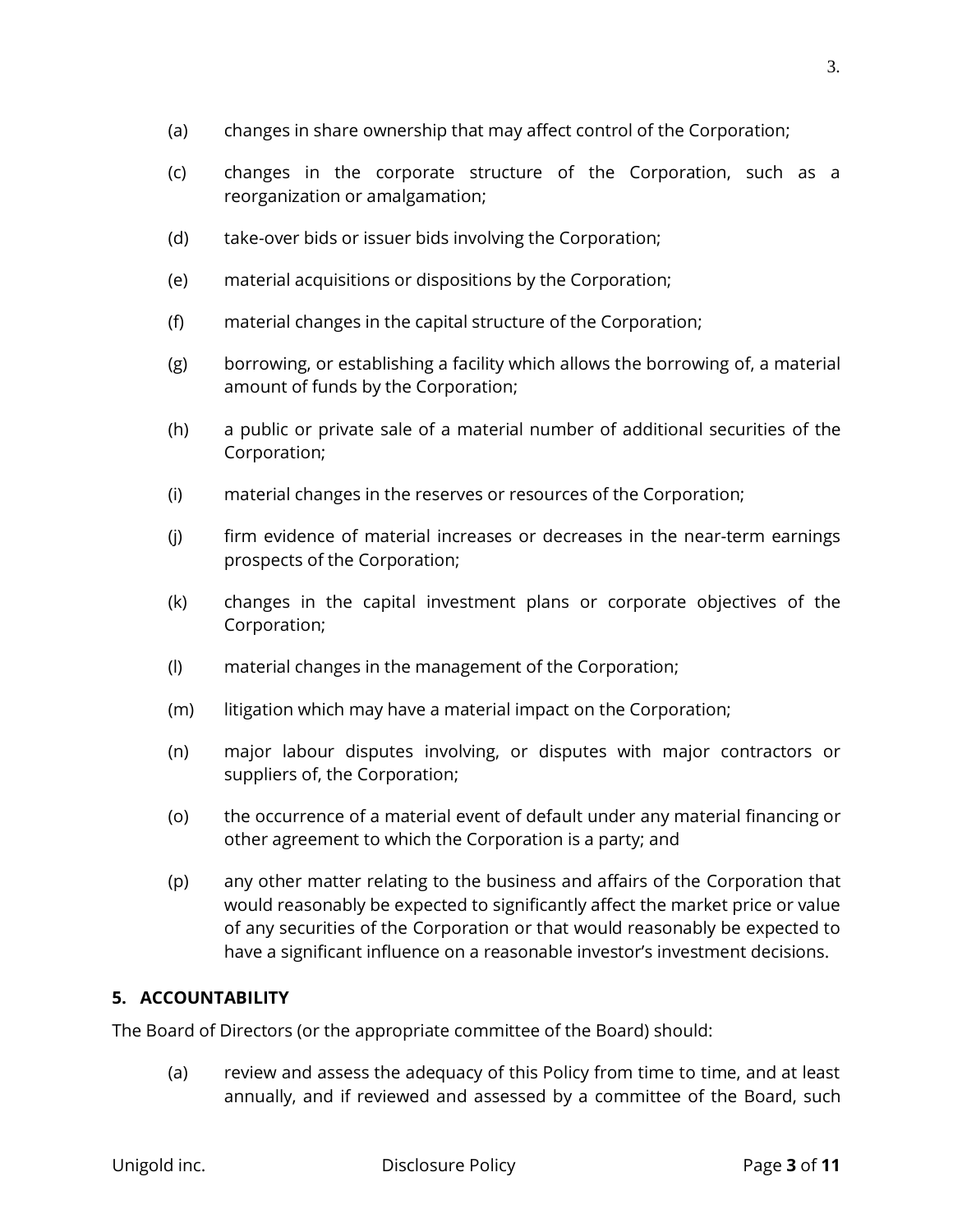- (a) changes in share ownership that may affect control of the Corporation;
- (c) changes in the corporate structure of the Corporation, such as a reorganization or amalgamation;
- (d) take-over bids or issuer bids involving the Corporation;
- (e) material acquisitions or dispositions by the Corporation;
- (f) material changes in the capital structure of the Corporation;
- (g) borrowing, or establishing a facility which allows the borrowing of, a material amount of funds by the Corporation;
- (h) a public or private sale of a material number of additional securities of the Corporation;
- (i) material changes in the reserves or resources of the Corporation;
- (j) firm evidence of material increases or decreases in the near-term earnings prospects of the Corporation;
- (k) changes in the capital investment plans or corporate objectives of the Corporation;
- (l) material changes in the management of the Corporation;
- (m) litigation which may have a material impact on the Corporation;
- (n) major labour disputes involving, or disputes with major contractors or suppliers of, the Corporation;
- (o) the occurrence of a material event of default under any material financing or other agreement to which the Corporation is a party; and
- (p) any other matter relating to the business and affairs of the Corporation that would reasonably be expected to significantly affect the market price or value of any securities of the Corporation or that would reasonably be expected to have a significant influence on a reasonable investor's investment decisions.

### **5. ACCOUNTABILITY**

The Board of Directors (or the appropriate committee of the Board) should:

(a) review and assess the adequacy of this Policy from time to time, and at least annually, and if reviewed and assessed by a committee of the Board, such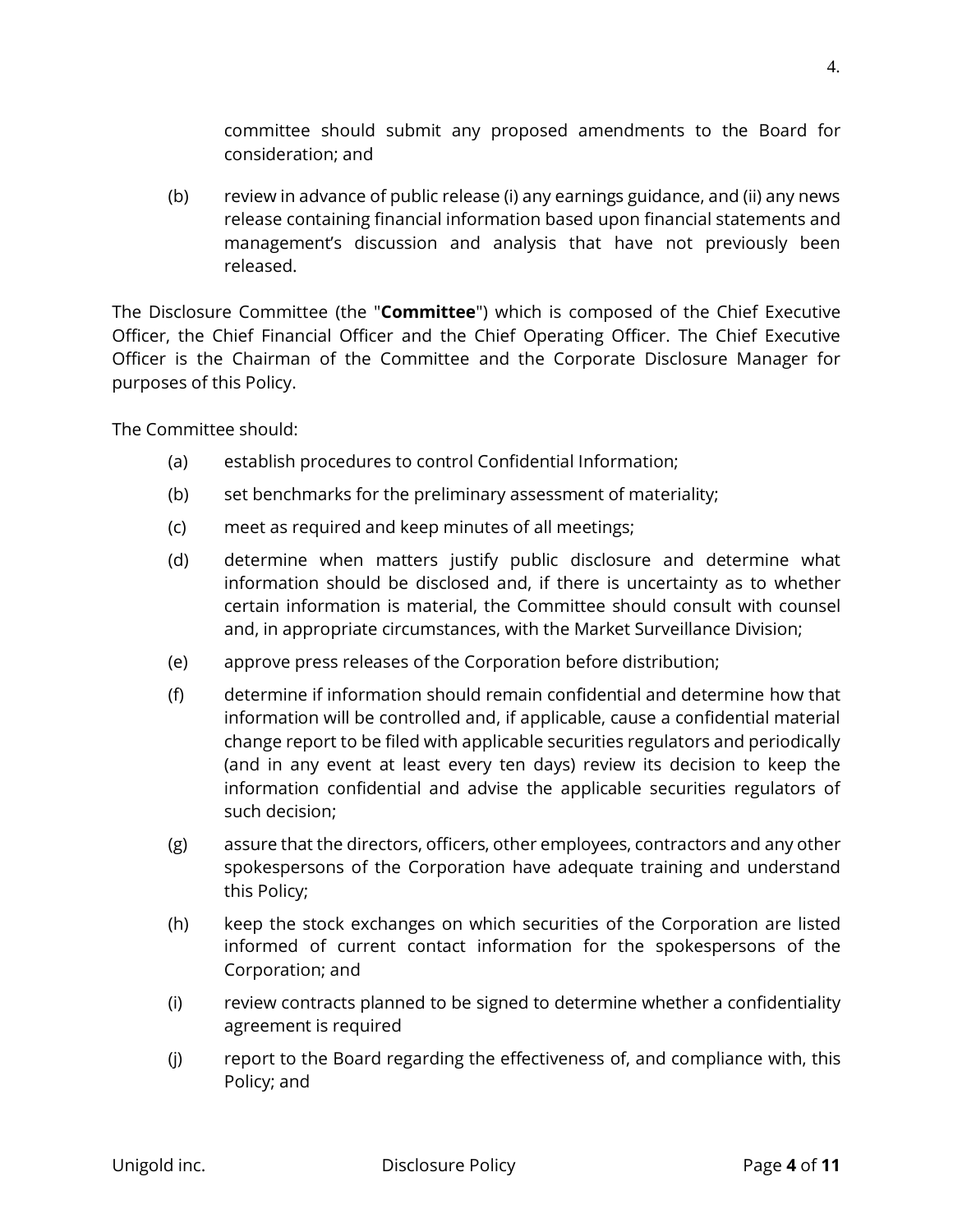committee should submit any proposed amendments to the Board for consideration; and

(b) review in advance of public release (i) any earnings guidance, and (ii) any news release containing financial information based upon financial statements and management's discussion and analysis that have not previously been released.

The Disclosure Committee (the "**Committee**") which is composed of the Chief Executive Officer, the Chief Financial Officer and the Chief Operating Officer. The Chief Executive Officer is the Chairman of the Committee and the Corporate Disclosure Manager for purposes of this Policy.

The Committee should:

- (a) establish procedures to control Confidential Information;
- (b) set benchmarks for the preliminary assessment of materiality;
- (c) meet as required and keep minutes of all meetings;
- (d) determine when matters justify public disclosure and determine what information should be disclosed and, if there is uncertainty as to whether certain information is material, the Committee should consult with counsel and, in appropriate circumstances, with the Market Surveillance Division;
- (e) approve press releases of the Corporation before distribution;
- (f) determine if information should remain confidential and determine how that information will be controlled and, if applicable, cause a confidential material change report to be filed with applicable securities regulators and periodically (and in any event at least every ten days) review its decision to keep the information confidential and advise the applicable securities regulators of such decision;
- (g) assure that the directors, officers, other employees, contractors and any other spokespersons of the Corporation have adequate training and understand this Policy;
- (h) keep the stock exchanges on which securities of the Corporation are listed informed of current contact information for the spokespersons of the Corporation; and
- (i) review contracts planned to be signed to determine whether a confidentiality agreement is required
- (j) report to the Board regarding the effectiveness of, and compliance with, this Policy; and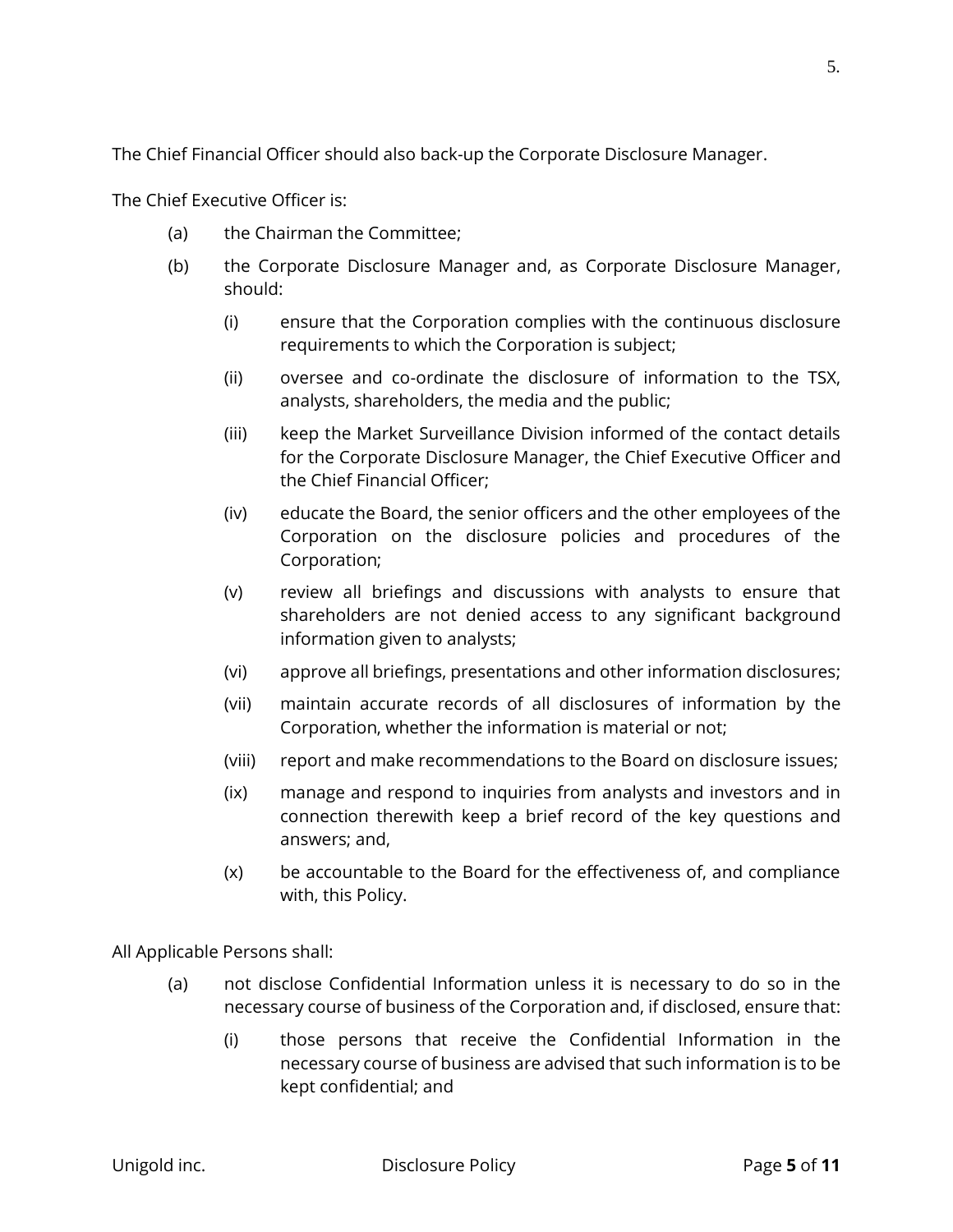The Chief Financial Officer should also back-up the Corporate Disclosure Manager.

The Chief Executive Officer is:

- (a) the Chairman the Committee;
- (b) the Corporate Disclosure Manager and, as Corporate Disclosure Manager, should:
	- (i) ensure that the Corporation complies with the continuous disclosure requirements to which the Corporation is subject;
	- (ii) oversee and co-ordinate the disclosure of information to the TSX, analysts, shareholders, the media and the public;
	- (iii) keep the Market Surveillance Division informed of the contact details for the Corporate Disclosure Manager, the Chief Executive Officer and the Chief Financial Officer;
	- (iv) educate the Board, the senior officers and the other employees of the Corporation on the disclosure policies and procedures of the Corporation;
	- (v) review all briefings and discussions with analysts to ensure that shareholders are not denied access to any significant background information given to analysts;
	- (vi) approve all briefings, presentations and other information disclosures;
	- (vii) maintain accurate records of all disclosures of information by the Corporation, whether the information is material or not;
	- (viii) report and make recommendations to the Board on disclosure issues;
	- (ix) manage and respond to inquiries from analysts and investors and in connection therewith keep a brief record of the key questions and answers; and,
	- (x) be accountable to the Board for the effectiveness of, and compliance with, this Policy.

All Applicable Persons shall:

- (a) not disclose Confidential Information unless it is necessary to do so in the necessary course of business of the Corporation and, if disclosed, ensure that:
	- (i) those persons that receive the Confidential Information in the necessary course of business are advised that such information is to be kept confidential; and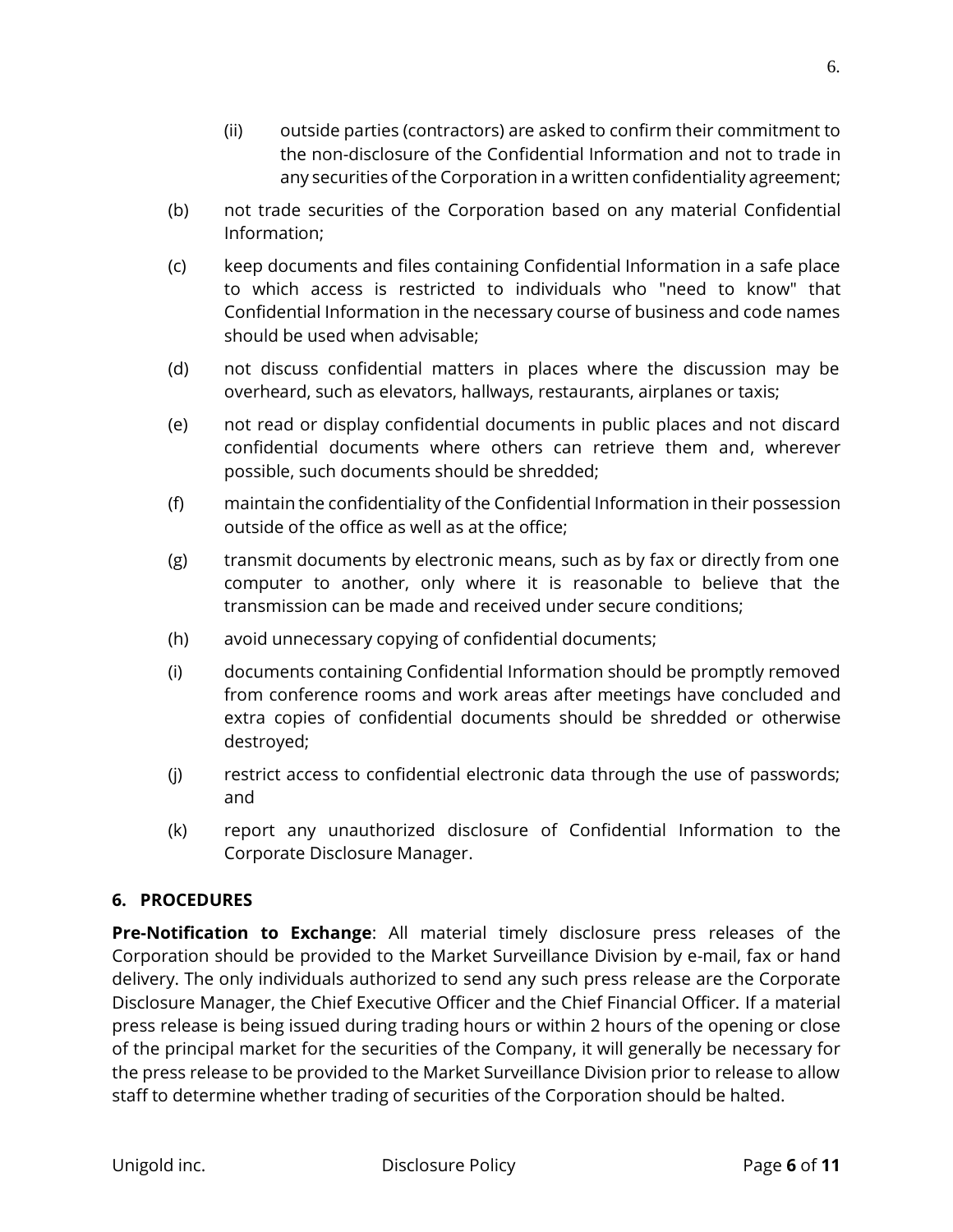- (ii) outside parties (contractors) are asked to confirm their commitment to the non-disclosure of the Confidential Information and not to trade in any securities of the Corporation in a written confidentiality agreement;
- (b) not trade securities of the Corporation based on any material Confidential Information;
- (c) keep documents and files containing Confidential Information in a safe place to which access is restricted to individuals who "need to know" that Confidential Information in the necessary course of business and code names should be used when advisable;
- (d) not discuss confidential matters in places where the discussion may be overheard, such as elevators, hallways, restaurants, airplanes or taxis;
- (e) not read or display confidential documents in public places and not discard confidential documents where others can retrieve them and, wherever possible, such documents should be shredded;
- (f) maintain the confidentiality of the Confidential Information in their possession outside of the office as well as at the office;
- (g) transmit documents by electronic means, such as by fax or directly from one computer to another, only where it is reasonable to believe that the transmission can be made and received under secure conditions;
- (h) avoid unnecessary copying of confidential documents;
- (i) documents containing Confidential Information should be promptly removed from conference rooms and work areas after meetings have concluded and extra copies of confidential documents should be shredded or otherwise destroyed;
- (j) restrict access to confidential electronic data through the use of passwords; and
- (k) report any unauthorized disclosure of Confidential Information to the Corporate Disclosure Manager.

# **6. PROCEDURES**

**Pre-Notification to Exchange**: All material timely disclosure press releases of the Corporation should be provided to the Market Surveillance Division by e-mail, fax or hand delivery. The only individuals authorized to send any such press release are the Corporate Disclosure Manager, the Chief Executive Officer and the Chief Financial Officer. If a material press release is being issued during trading hours or within 2 hours of the opening or close of the principal market for the securities of the Company, it will generally be necessary for the press release to be provided to the Market Surveillance Division prior to release to allow staff to determine whether trading of securities of the Corporation should be halted.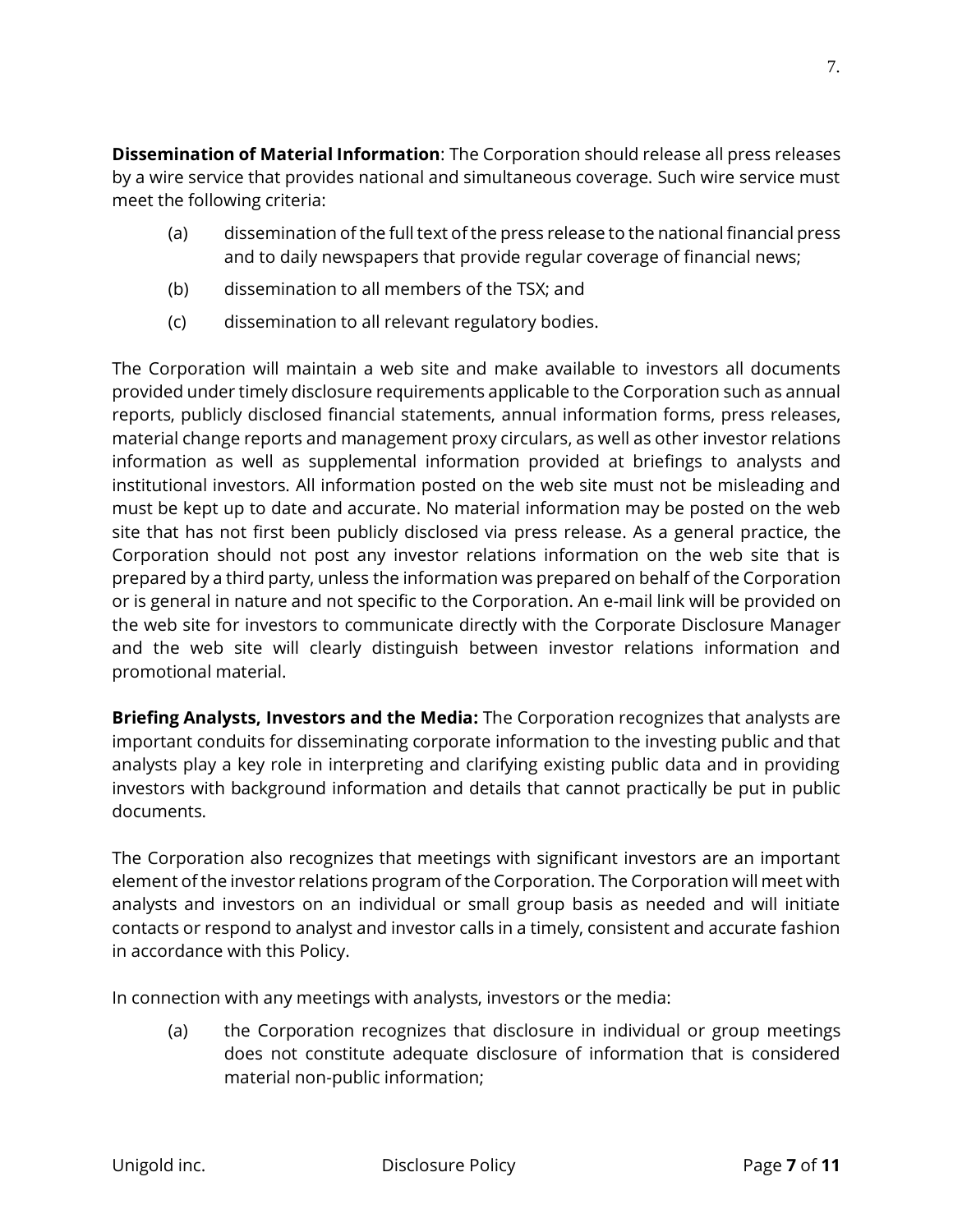**Dissemination of Material Information**: The Corporation should release all press releases by a wire service that provides national and simultaneous coverage. Such wire service must meet the following criteria:

- (a) dissemination of the full text of the press release to the national financial press and to daily newspapers that provide regular coverage of financial news;
- (b) dissemination to all members of the TSX; and
- (c) dissemination to all relevant regulatory bodies.

The Corporation will maintain a web site and make available to investors all documents provided under timely disclosure requirements applicable to the Corporation such as annual reports, publicly disclosed financial statements, annual information forms, press releases, material change reports and management proxy circulars, as well as other investor relations information as well as supplemental information provided at briefings to analysts and institutional investors. All information posted on the web site must not be misleading and must be kept up to date and accurate. No material information may be posted on the web site that has not first been publicly disclosed via press release. As a general practice, the Corporation should not post any investor relations information on the web site that is prepared by a third party, unless the information was prepared on behalf of the Corporation or is general in nature and not specific to the Corporation. An e-mail link will be provided on the web site for investors to communicate directly with the Corporate Disclosure Manager and the web site will clearly distinguish between investor relations information and promotional material.

**Briefing Analysts, Investors and the Media:** The Corporation recognizes that analysts are important conduits for disseminating corporate information to the investing public and that analysts play a key role in interpreting and clarifying existing public data and in providing investors with background information and details that cannot practically be put in public documents.

The Corporation also recognizes that meetings with significant investors are an important element of the investor relations program of the Corporation. The Corporation will meet with analysts and investors on an individual or small group basis as needed and will initiate contacts or respond to analyst and investor calls in a timely, consistent and accurate fashion in accordance with this Policy.

In connection with any meetings with analysts, investors or the media:

(a) the Corporation recognizes that disclosure in individual or group meetings does not constitute adequate disclosure of information that is considered material non-public information;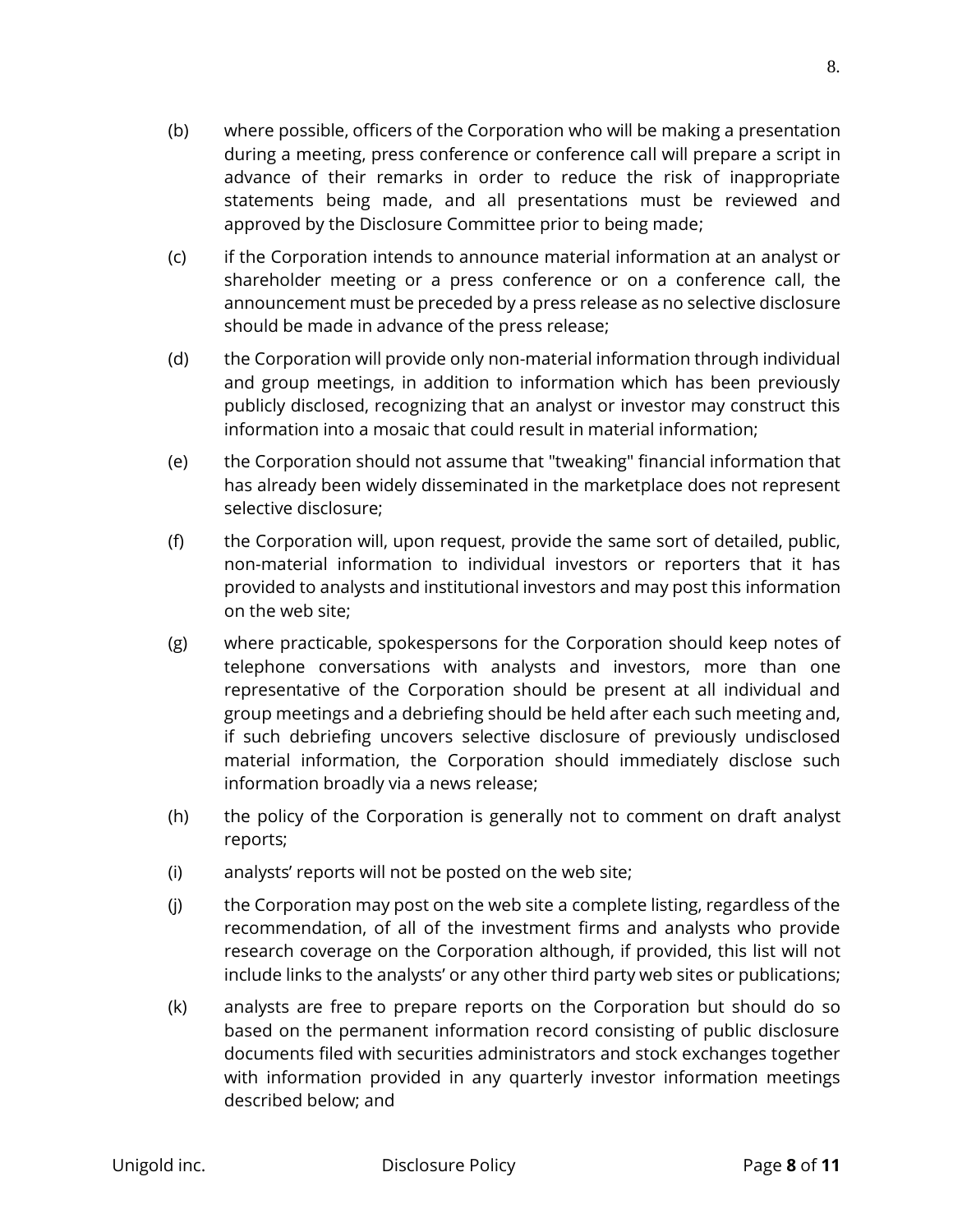- (b) where possible, officers of the Corporation who will be making a presentation during a meeting, press conference or conference call will prepare a script in advance of their remarks in order to reduce the risk of inappropriate statements being made, and all presentations must be reviewed and approved by the Disclosure Committee prior to being made;
- (c) if the Corporation intends to announce material information at an analyst or shareholder meeting or a press conference or on a conference call, the announcement must be preceded by a press release as no selective disclosure should be made in advance of the press release;
- (d) the Corporation will provide only non-material information through individual and group meetings, in addition to information which has been previously publicly disclosed, recognizing that an analyst or investor may construct this information into a mosaic that could result in material information;
- (e) the Corporation should not assume that "tweaking" financial information that has already been widely disseminated in the marketplace does not represent selective disclosure;
- (f) the Corporation will, upon request, provide the same sort of detailed, public, non-material information to individual investors or reporters that it has provided to analysts and institutional investors and may post this information on the web site;
- (g) where practicable, spokespersons for the Corporation should keep notes of telephone conversations with analysts and investors, more than one representative of the Corporation should be present at all individual and group meetings and a debriefing should be held after each such meeting and, if such debriefing uncovers selective disclosure of previously undisclosed material information, the Corporation should immediately disclose such information broadly via a news release;
- (h) the policy of the Corporation is generally not to comment on draft analyst reports;
- (i) analysts' reports will not be posted on the web site;
- (j) the Corporation may post on the web site a complete listing, regardless of the recommendation, of all of the investment firms and analysts who provide research coverage on the Corporation although, if provided, this list will not include links to the analysts' or any other third party web sites or publications;
- (k) analysts are free to prepare reports on the Corporation but should do so based on the permanent information record consisting of public disclosure documents filed with securities administrators and stock exchanges together with information provided in any quarterly investor information meetings described below; and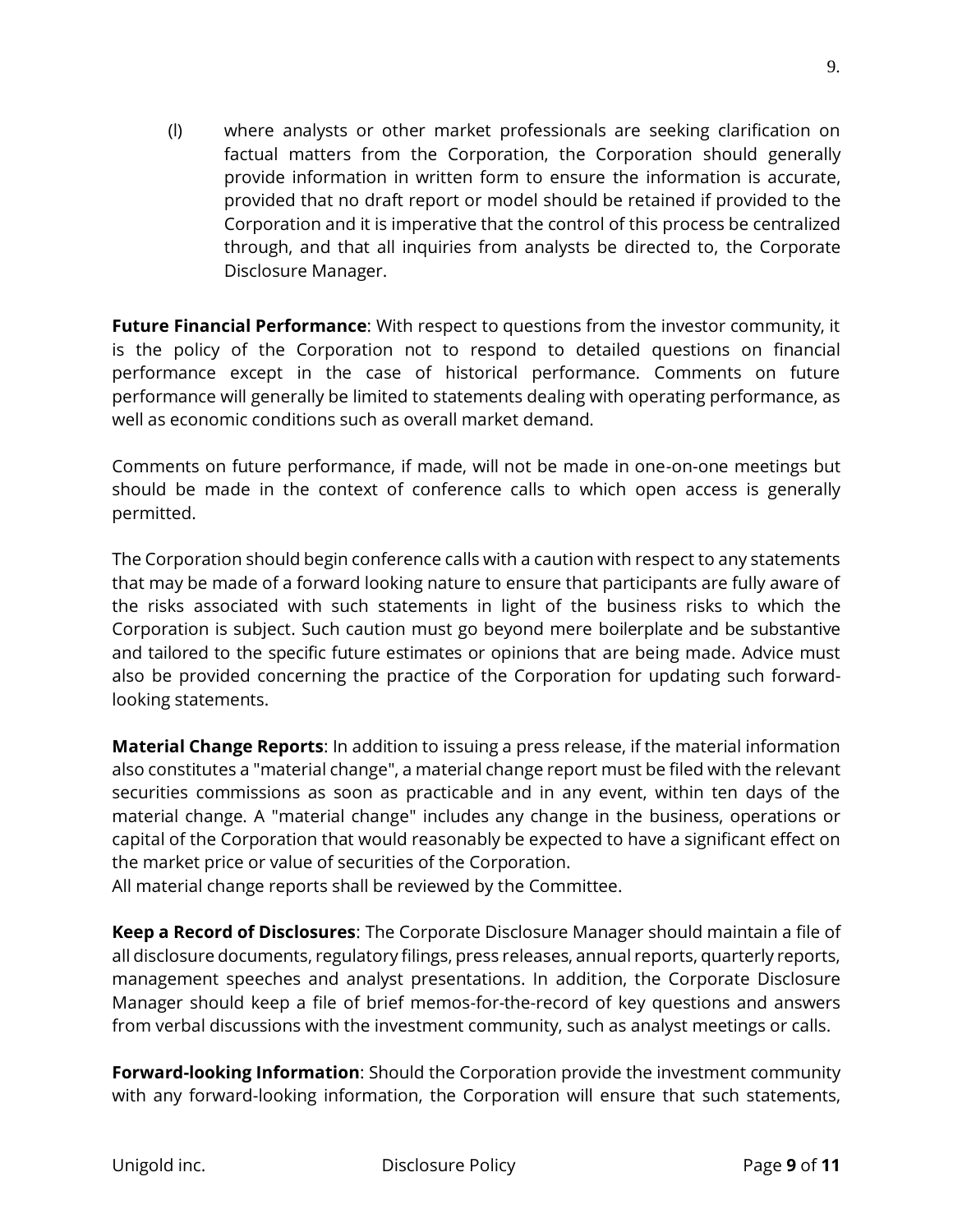(l) where analysts or other market professionals are seeking clarification on factual matters from the Corporation, the Corporation should generally provide information in written form to ensure the information is accurate, provided that no draft report or model should be retained if provided to the Corporation and it is imperative that the control of this process be centralized through, and that all inquiries from analysts be directed to, the Corporate Disclosure Manager.

**Future Financial Performance**: With respect to questions from the investor community, it is the policy of the Corporation not to respond to detailed questions on financial performance except in the case of historical performance. Comments on future performance will generally be limited to statements dealing with operating performance, as well as economic conditions such as overall market demand.

Comments on future performance, if made, will not be made in one-on-one meetings but should be made in the context of conference calls to which open access is generally permitted.

The Corporation should begin conference calls with a caution with respect to any statements that may be made of a forward looking nature to ensure that participants are fully aware of the risks associated with such statements in light of the business risks to which the Corporation is subject. Such caution must go beyond mere boilerplate and be substantive and tailored to the specific future estimates or opinions that are being made. Advice must also be provided concerning the practice of the Corporation for updating such forwardlooking statements.

**Material Change Reports**: In addition to issuing a press release, if the material information also constitutes a "material change", a material change report must be filed with the relevant securities commissions as soon as practicable and in any event, within ten days of the material change. A "material change" includes any change in the business, operations or capital of the Corporation that would reasonably be expected to have a significant effect on the market price or value of securities of the Corporation.

All material change reports shall be reviewed by the Committee.

**Keep a Record of Disclosures**: The Corporate Disclosure Manager should maintain a file of all disclosure documents, regulatory filings, press releases, annual reports, quarterly reports, management speeches and analyst presentations. In addition, the Corporate Disclosure Manager should keep a file of brief memos-for-the-record of key questions and answers from verbal discussions with the investment community, such as analyst meetings or calls.

**Forward-looking Information**: Should the Corporation provide the investment community with any forward-looking information, the Corporation will ensure that such statements,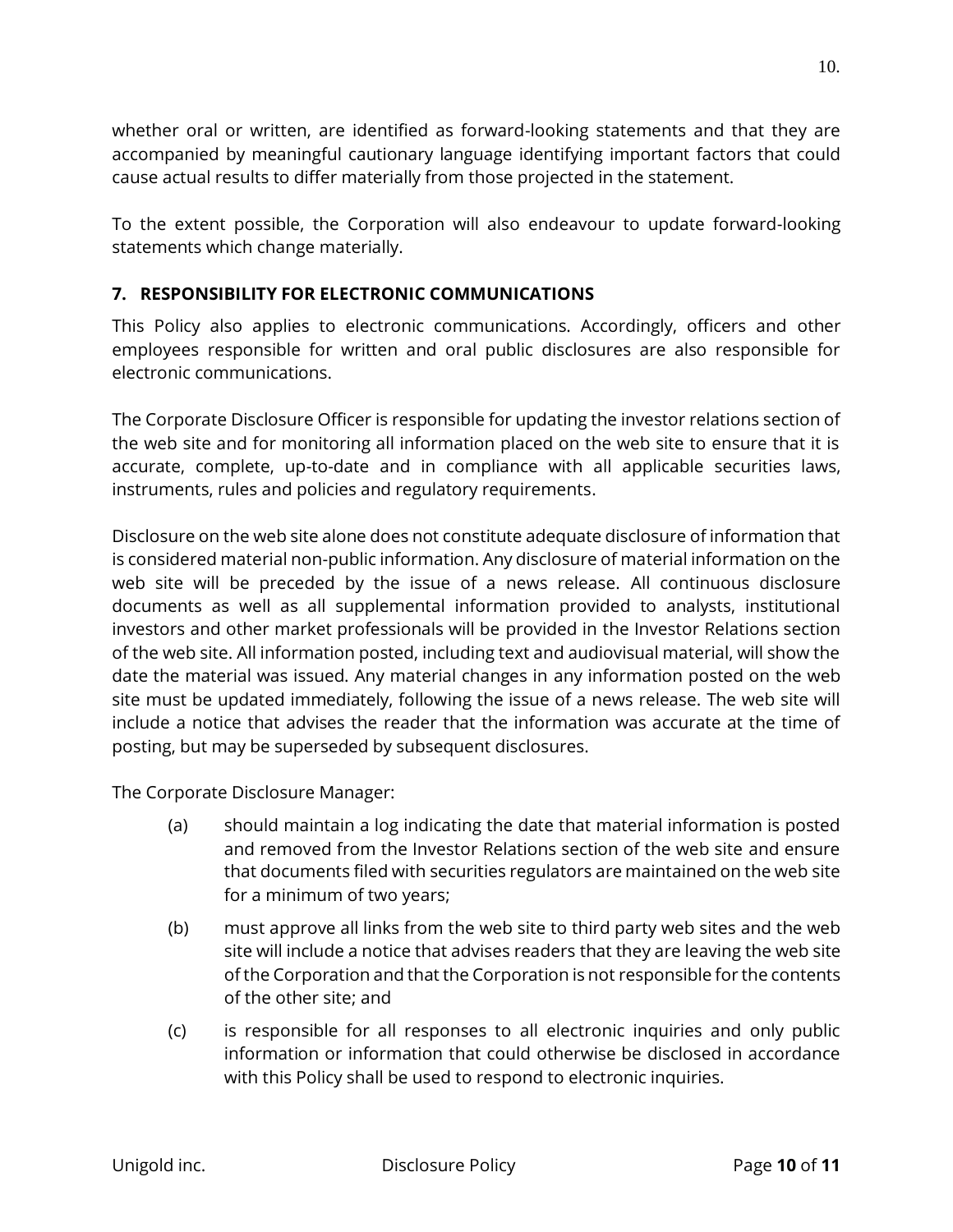whether oral or written, are identified as forward-looking statements and that they are accompanied by meaningful cautionary language identifying important factors that could cause actual results to differ materially from those projected in the statement.

To the extent possible, the Corporation will also endeavour to update forward-looking statements which change materially.

### **7. RESPONSIBILITY FOR ELECTRONIC COMMUNICATIONS**

This Policy also applies to electronic communications. Accordingly, officers and other employees responsible for written and oral public disclosures are also responsible for electronic communications.

The Corporate Disclosure Officer is responsible for updating the investor relations section of the web site and for monitoring all information placed on the web site to ensure that it is accurate, complete, up-to-date and in compliance with all applicable securities laws, instruments, rules and policies and regulatory requirements.

Disclosure on the web site alone does not constitute adequate disclosure of information that is considered material non-public information. Any disclosure of material information on the web site will be preceded by the issue of a news release. All continuous disclosure documents as well as all supplemental information provided to analysts, institutional investors and other market professionals will be provided in the Investor Relations section of the web site. All information posted, including text and audiovisual material, will show the date the material was issued. Any material changes in any information posted on the web site must be updated immediately, following the issue of a news release. The web site will include a notice that advises the reader that the information was accurate at the time of posting, but may be superseded by subsequent disclosures.

The Corporate Disclosure Manager:

- (a) should maintain a log indicating the date that material information is posted and removed from the Investor Relations section of the web site and ensure that documents filed with securities regulators are maintained on the web site for a minimum of two years;
- (b) must approve all links from the web site to third party web sites and the web site will include a notice that advises readers that they are leaving the web site of the Corporation and that the Corporation is not responsible for the contents of the other site; and
- (c) is responsible for all responses to all electronic inquiries and only public information or information that could otherwise be disclosed in accordance with this Policy shall be used to respond to electronic inquiries.